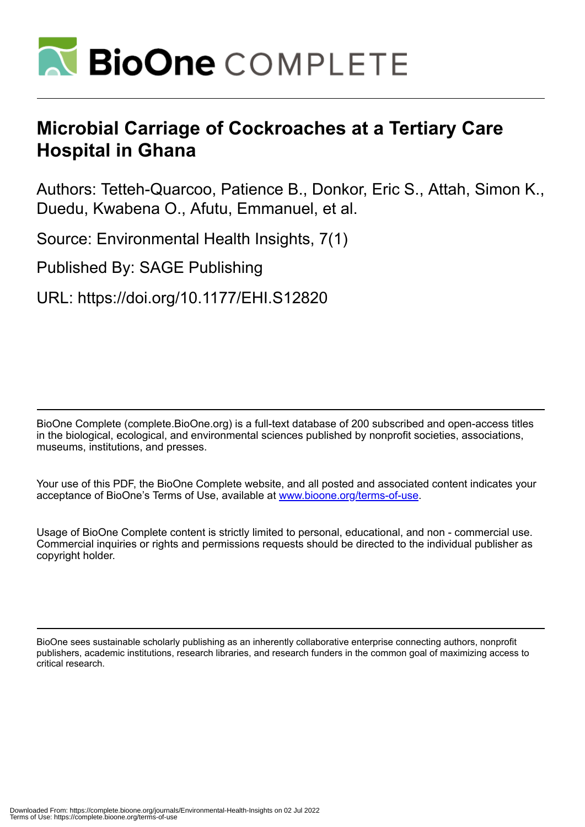

# **Microbial Carriage of Cockroaches at a Tertiary Care Hospital in Ghana**

Authors: Tetteh-Quarcoo, Patience B., Donkor, Eric S., Attah, Simon K., Duedu, Kwabena O., Afutu, Emmanuel, et al.

Source: Environmental Health Insights, 7(1)

Published By: SAGE Publishing

URL: https://doi.org/10.1177/EHI.S12820

BioOne Complete (complete.BioOne.org) is a full-text database of 200 subscribed and open-access titles in the biological, ecological, and environmental sciences published by nonprofit societies, associations, museums, institutions, and presses.

Your use of this PDF, the BioOne Complete website, and all posted and associated content indicates your acceptance of BioOne's Terms of Use, available at www.bioone.org/terms-of-use.

Usage of BioOne Complete content is strictly limited to personal, educational, and non - commercial use. Commercial inquiries or rights and permissions requests should be directed to the individual publisher as copyright holder.

BioOne sees sustainable scholarly publishing as an inherently collaborative enterprise connecting authors, nonprofit publishers, academic institutions, research libraries, and research funders in the common goal of maximizing access to critical research.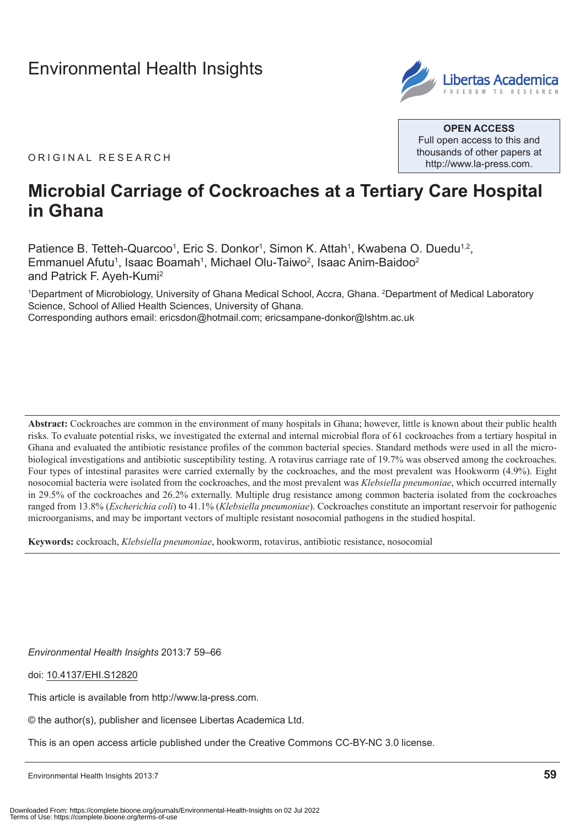## [Environmental Health Insights](http://www.la-press.com/environmental-health-insights-journal-j110)



**Open Access** Full open access to this and thousands of other papers at <http://www.la-press.com>.

ORIGINAL RESEARCH

## **Microbial Carriage of Cockroaches at a Tertiary Care Hospital in Ghana**

Patience B. Tetteh-Quarcoo<sup>1</sup>, Eric S. Donkor<sup>1</sup>, Simon K. Attah<sup>1</sup>, Kwabena O. Duedu<sup>1,2</sup>, Emmanuel Afutu<sup>1</sup>, Isaac Boamah<sup>1</sup>, Michael Olu-Taiwo<sup>2</sup>, Isaac Anim-Baidoo<sup>2</sup> and Patrick F. Ayeh-Kumi2

1 Department of Microbiology, University of Ghana Medical School, Accra, Ghana. 2 Department of Medical Laboratory Science, School of Allied Health Sciences, University of Ghana. Corresponding authors email: [ericsdon@hotmail.com](mailto:ericsdon@hotmail.com); [ericsampane-donkor@lshtm.ac.uk](mailto:ericsampane-donkor@lshtm.ac.uk)

Abstract: Cockroaches are common in the environment of many hospitals in Ghana; however, little is known about their public health risks. To evaluate potential risks, we investigated the external and internal microbial flora of 61 cockroaches from a tertiary hospital in Ghana and evaluated the antibiotic resistance profiles of the common bacterial species. Standard methods were used in all the microbiological investigations and antibiotic susceptibility testing. A rotavirus carriage rate of 19.7% was observed among the cockroaches. Four types of intestinal parasites were carried externally by the cockroaches, and the most prevalent was Hookworm (4.9%). Eight nosocomial bacteria were isolated from the cockroaches, and the most prevalent was *Klebsiella pneumoniae*, which occurred internally in 29.5% of the cockroaches and 26.2% externally. Multiple drug resistance among common bacteria isolated from the cockroaches ranged from 13.8% (*Escherichia coli*) to 41.1% (*Klebsiella pneumoniae*). Cockroaches constitute an important reservoir for pathogenic microorganisms, and may be important vectors of multiple resistant nosocomial pathogens in the studied hospital.

**Keywords:** cockroach, *Klebsiella pneumoniae*, hookworm, rotavirus, antibiotic resistance, nosocomial

*Environmental Health Insights* 2013:7 59–66

doi: [10.4137/EHI.S12820](http://dx.doi.org/10.4137/EHI.S12820)

This article is available from [http://www.la-press.com.](http://www.la-press.com)

© the author(s), publisher and licensee Libertas Academica Ltd.

This is an open access article published under the Creative Commons CC-BY-NC 3.0 license.

Environmental Health Insights 2013:7 **59**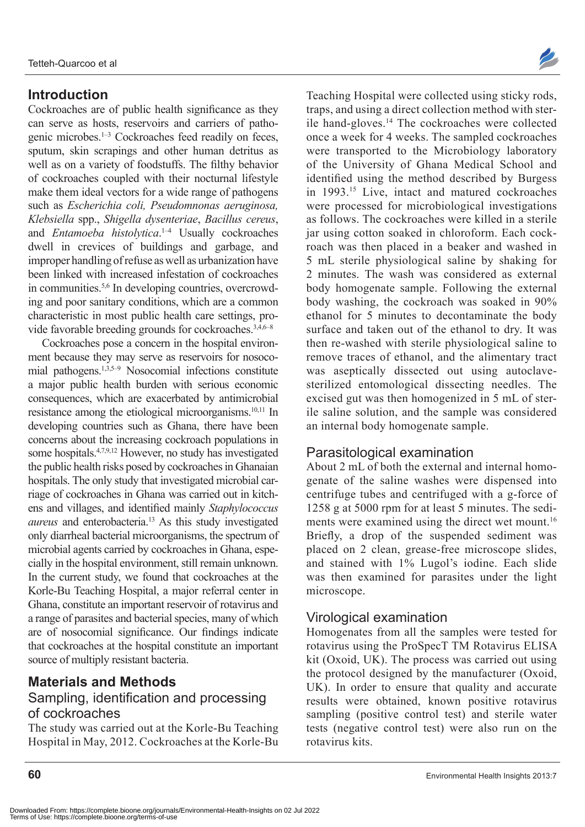## **Introduction**

Cockroaches are of public health significance as they can serve as hosts, reservoirs and carriers of pathogenic microbes.1–3 Cockroaches feed readily on feces, sputum, skin scrapings and other human detritus as well as on a variety of foodstuffs. The filthy behavior of cockroaches coupled with their nocturnal lifestyle make them ideal vectors for a wide range of pathogens such as *Escherichia coli, Pseudomnonas aeruginosa, Klebsiella* spp., *Shigella dysenteriae*, *Bacillus cereus*, and *Entamoeba histolytica*. 1–4 Usually cockroaches dwell in crevices of buildings and garbage, and improper handling of refuse as well as urbanization have been linked with increased infestation of cockroaches in communities.5,6 In developing countries, overcrowding and poor sanitary conditions, which are a common characteristic in most public health care settings, provide favorable breeding grounds for cockroaches.<sup>3,4,6–8</sup>

Cockroaches pose a concern in the hospital environment because they may serve as reservoirs for nosocomial pathogens.1,3,5–9 Nosocomial infections constitute a major public health burden with serious economic consequences, which are exacerbated by antimicrobial resistance among the etiological microorganisms.10,11 In developing countries such as Ghana, there have been concerns about the increasing cockroach populations in some hospitals.4,7,9,12 However, no study has investigated the public health risks posed by cockroaches in Ghanaian hospitals. The only study that investigated microbial carriage of cockroaches in Ghana was carried out in kitchens and villages, and identified mainly *Staphylococcus aureus* and enterobacteria.<sup>13</sup> As this study investigated only diarrheal bacterial microorganisms, the spectrum of microbial agents carried by cockroaches in Ghana, especially in the hospital environment, still remain unknown. In the current study, we found that cockroaches at the Korle-Bu Teaching Hospital, a major referral center in Ghana, constitute an important reservoir of rotavirus and a range of parasites and bacterial species, many of which are of nosocomial significance. Our findings indicate that cockroaches at the hospital constitute an important source of multiply resistant bacteria.

## **Materials and Methods**

## Sampling, identification and processing of cockroaches

The study was carried out at the Korle-Bu Teaching Hospital in May, 2012. Cockroaches at the Korle-Bu



Teaching Hospital were collected using sticky rods, traps, and using a direct collection method with sterile hand-gloves.<sup>14</sup> The cockroaches were collected once a week for 4 weeks. The sampled cockroaches were transported to the Microbiology laboratory of the University of Ghana Medical School and identified using the method described by Burgess in 1993.15 Live, intact and matured cockroaches were processed for microbiological investigations as follows. The cockroaches were killed in a sterile jar using cotton soaked in chloroform. Each cockroach was then placed in a beaker and washed in 5 mL sterile physiological saline by shaking for 2 minutes. The wash was considered as external body homogenate sample. Following the external body washing, the cockroach was soaked in 90% ethanol for 5 minutes to decontaminate the body surface and taken out of the ethanol to dry. It was then re-washed with sterile physiological saline to remove traces of ethanol, and the alimentary tract was aseptically dissected out using autoclavesterilized entomological dissecting needles. The excised gut was then homogenized in 5 mL of sterile saline solution, and the sample was considered an internal body homogenate sample.

## Parasitological examination

About 2 mL of both the external and internal homogenate of the saline washes were dispensed into centrifuge tubes and centrifuged with a g-force of 1258 g at 5000 rpm for at least 5 minutes. The sediments were examined using the direct wet mount.<sup>16</sup> Briefly, a drop of the suspended sediment was placed on 2 clean, grease-free microscope slides, and stained with 1% Lugol's iodine. Each slide was then examined for parasites under the light microscope.

#### Virological examination

Homogenates from all the samples were tested for rotavirus using the ProSpecT TM Rotavirus ELISA kit (Oxoid, UK). The process was carried out using the protocol designed by the manufacturer (Oxoid, UK). In order to ensure that quality and accurate results were obtained, known positive rotavirus sampling (positive control test) and sterile water tests (negative control test) were also run on the rotavirus kits.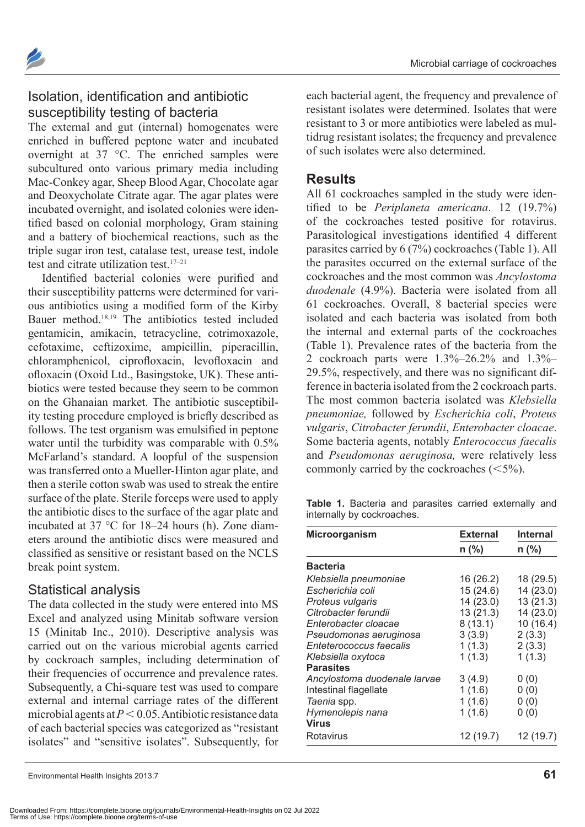

## Isolation, identification and antibiotic susceptibility testing of bacteria

The external and gut (internal) homogenates were enriched in buffered peptone water and incubated overnight at 37 °C. The enriched samples were subcultured onto various primary media including Mac-Conkey agar, Sheep Blood Agar, Chocolate agar and Deoxycholate Citrate agar. The agar plates were incubated overnight, and isolated colonies were identified based on colonial morphology, Gram staining and a battery of biochemical reactions, such as the triple sugar iron test, catalase test, urease test, indole test and citrate utilization test.<sup>17-21</sup>

Identified bacterial colonies were purified and their susceptibility patterns were determined for various antibiotics using a modified form of the Kirby Bauer method.18,19 The antibiotics tested included gentamicin, amikacin, tetracycline, cotrimoxazole, cefotaxime, ceftizoxime, ampicillin, piperacillin, chloramphenicol, ciprofloxacin, levofloxacin and ofloxacin (Oxoid Ltd., Basingstoke, UK). These antibiotics were tested because they seem to be common on the Ghanaian market. The antibiotic susceptibility testing procedure employed is briefly described as follows. The test organism was emulsified in peptone water until the turbidity was comparable with 0.5% McFarland's standard. A loopful of the suspension was transferred onto a Mueller-Hinton agar plate, and then a sterile cotton swab was used to streak the entire surface of the plate. Sterile forceps were used to apply the antibiotic discs to the surface of the agar plate and incubated at 37 °C for 18–24 hours (h). Zone diameters around the antibiotic discs were measured and classified as sensitive or resistant based on the NCLS break point system.

#### Statistical analysis

The data collected in the study were entered into MS Excel and analyzed using Minitab software version 15 (Minitab Inc., 2010). Descriptive analysis was carried out on the various microbial agents carried by cockroach samples, including determination of their frequencies of occurrence and prevalence rates. Subsequently, a Chi-square test was used to compare external and internal carriage rates of the different microbial agents at  $P < 0.05$ . Antibiotic resistance data of each bacterial species was categorized as "resistant isolates" and "sensitive isolates". Subsequently, for each bacterial agent, the frequency and prevalence of resistant isolates were determined. Isolates that were resistant to 3 or more antibiotics were labeled as multidrug resistant isolates; the frequency and prevalence of such isolates were also determined.

#### **Results**

All 61 cockroaches sampled in the study were identified to be *Periplaneta americana*. 12 (19.7%) of the cockroaches tested positive for rotavirus. Parasitological investigations identified 4 different parasites carried by 6 (7%) cockroaches (Table 1). All the parasites occurred on the external surface of the cockroaches and the most common was *Ancylostoma duodenale* (4.9%). Bacteria were isolated from all 61 cockroaches. Overall, 8 bacterial species were isolated and each bacteria was isolated from both the internal and external parts of the cockroaches (Table 1). Prevalence rates of the bacteria from the 2 cockroach parts were 1.3%–26.2% and 1.3%– 29.5%, respectively, and there was no significant difference in bacteria isolated from the 2 cockroach parts. The most common bacteria isolated was *Klebsiella pneumoniae,* followed by *Escherichia coli*, *Proteus vulgaris*, *Citrobacter ferundii*, *Enterobacter cloacae*. Some bacteria agents, notably *Enterococcus faecalis* and *Pseudomonas aeruginosa,* were relatively less commonly carried by the cockroaches  $(<5\%)$ .

**Table 1.** Bacteria and parasites carried externally and internally by cockroaches.

| Microorganism                | <b>External</b> | <b>Internal</b> |  |
|------------------------------|-----------------|-----------------|--|
|                              | $n$ (%)         | $n$ (%)         |  |
| <b>Bacteria</b>              |                 |                 |  |
| Klebsiella pneumoniae        | 16 (26.2)       | 18 (29.5)       |  |
| Escherichia coli             | 15(24.6)        | 14 (23.0)       |  |
| Proteus vulgaris             | 14 (23.0)       | 13(21.3)        |  |
| Citrobacter ferundii         | 13(21.3)        | 14 (23.0)       |  |
| Enterobacter cloacae         | 8(13.1)         | 10(16.4)        |  |
| Pseudomonas aeruginosa       | 3(3.9)          | 2(3.3)          |  |
| Enteterococcus faecalis      | 1(1.3)          | 2(3.3)          |  |
| Klebsiella oxytoca           | 1(1.3)          | 1(1.3)          |  |
| <b>Parasites</b>             |                 |                 |  |
| Ancylostoma duodenale larvae | 3(4.9)          | 0(0)            |  |
| Intestinal flagellate        | 1(1.6)          | 0(0)            |  |
| Taenia spp.                  | 1(1.6)          | 0(0)            |  |
| Hymenolepis nana             | 1(1.6)          | 0(0)            |  |
| <b>Virus</b>                 |                 |                 |  |
| Rotavirus                    | 12 (19.7)       | 12 (19.7)       |  |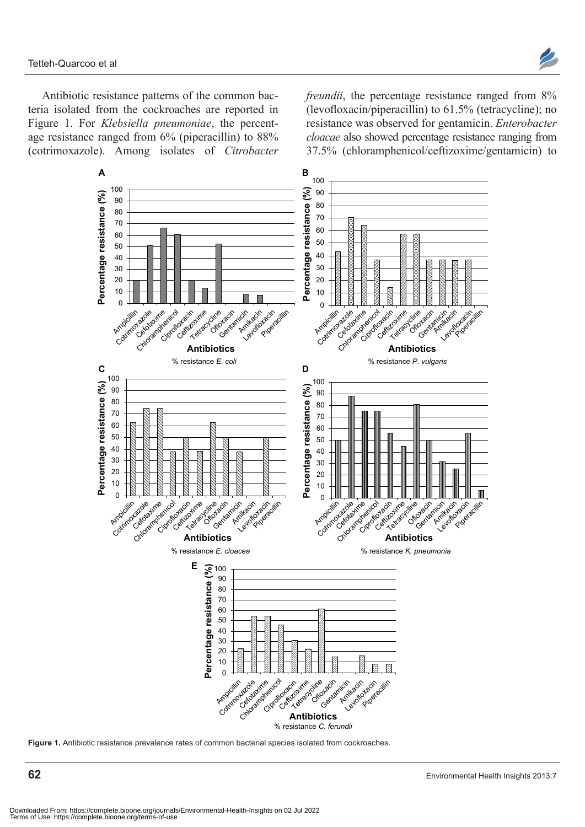Antibiotic resistance patterns of the common bacteria isolated from the cockroaches are reported in Figure 1. For *Klebsiella pneumoniae*, the percentage resistance ranged from 6% (piperacillin) to 88% (cotrimoxazole). Among isolates of *Citrobacter* 

*freundii*, the percentage resistance ranged from 8% (levofloxacin/piperacillin) to 61.5% (tetracycline); no resistance was observed for gentamicin. *Enterobacter cloacae* also showed percentage resistance ranging from 37.5% (chloramphenicol/ceftizoxime/gentamicin) to



**Figure 1.** Antibiotic resistance prevalence rates of common bacterial species isolated from cockroaches.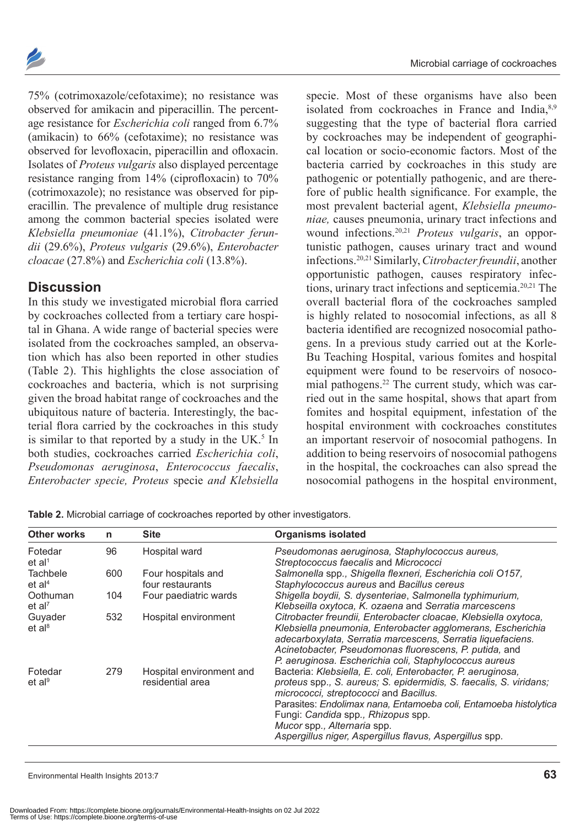

75% (cotrimoxazole/cefotaxime); no resistance was observed for amikacin and piperacillin. The percentage resistance for *Escherichia coli* ranged from 6.7% (amikacin) to 66% (cefotaxime); no resistance was observed for levofloxacin, piperacillin and ofloxacin. Isolates of *Proteus vulgaris* also displayed percentage resistance ranging from 14% (ciprofloxacin) to 70% (cotrimoxazole); no resistance was observed for piperacillin. The prevalence of multiple drug resistance among the common bacterial species isolated were *Klebsiella pneumoniae* (41.1%), *Citrobacter ferundii* (29.6%), *Proteus vulgaris* (29.6%), *Enterobacter cloacae* (27.8%) and *Escherichia coli* (13.8%).

#### **Discussion**

In this study we investigated microbial flora carried by cockroaches collected from a tertiary care hospital in Ghana. A wide range of bacterial species were isolated from the cockroaches sampled, an observation which has also been reported in other studies (Table 2). This highlights the close association of cockroaches and bacteria, which is not surprising given the broad habitat range of cockroaches and the ubiquitous nature of bacteria. Interestingly, the bacterial flora carried by the cockroaches in this study is similar to that reported by a study in the UK. $<sup>5</sup>$  In</sup> both studies, cockroaches carried *Escherichia coli*, *Pseudomonas aeruginosa*, *Enterococcus faecalis*, *Enterobacter specie, Proteus* specie *and Klebsiella* 

specie. Most of these organisms have also been isolated from cockroaches in France and India,<sup>8,9</sup> suggesting that the type of bacterial flora carried by cockroaches may be independent of geographical location or socio-economic factors. Most of the bacteria carried by cockroaches in this study are pathogenic or potentially pathogenic, and are therefore of public health significance. For example, the most prevalent bacterial agent, *Klebsiella pneumoniae,* causes pneumonia, urinary tract infections and wound infections.20,21 *Proteus vulgaris*, an opportunistic pathogen, causes urinary tract and wound infections.20,21 Similarly, *Citrobacter freundii*, another opportunistic pathogen, causes respiratory infections, urinary tract infections and septicemia.<sup>20,21</sup> The overall bacterial flora of the cockroaches sampled is highly related to nosocomial infections, as all 8 bacteria identified are recognized nosocomial pathogens. In a previous study carried out at the Korle-Bu Teaching Hospital, various fomites and hospital equipment were found to be reservoirs of nosocomial pathogens.22 The current study, which was carried out in the same hospital, shows that apart from fomites and hospital equipment, infestation of the hospital environment with cockroaches constitutes an important reservoir of nosocomial pathogens. In addition to being reservoirs of nosocomial pathogens in the hospital, the cockroaches can also spread the nosocomial pathogens in the hospital environment,

| <b>Other works</b>             | n   | <b>Site</b>                                  | <b>Organisms isolated</b>                                                                                                                                                                                                                                                                                                                                                       |
|--------------------------------|-----|----------------------------------------------|---------------------------------------------------------------------------------------------------------------------------------------------------------------------------------------------------------------------------------------------------------------------------------------------------------------------------------------------------------------------------------|
| Fotedar<br>et al <sup>1</sup>  | 96  | Hospital ward                                | Pseudomonas aeruginosa, Staphylococcus aureus,<br>Streptococcus faecalis and Micrococci                                                                                                                                                                                                                                                                                         |
| Tachbele<br>et al <sup>4</sup> | 600 | Four hospitals and<br>four restaurants       | Salmonella spp., Shigella flexneri, Escherichia coli O157,<br>Staphylococcus aureus and Bacillus cereus                                                                                                                                                                                                                                                                         |
| Oothuman<br>et al <sup>7</sup> | 104 | Four paediatric wards                        | Shigella boydii, S. dysenteriae, Salmonella typhimurium,<br>Klebseilla oxytoca, K. ozaena and Serratia marcescens                                                                                                                                                                                                                                                               |
| Guyader<br>et al <sup>8</sup>  | 532 | Hospital environment                         | Citrobacter freundii, Enterobacter cloacae, Klebsiella oxytoca,<br>Klebsiella pneumonia, Enterobacter agglomerans, Escherichia<br>adecarboxylata, Serratia marcescens, Serratia liquefaciens.<br>Acinetobacter, Pseudomonas fluorescens, P. putida, and<br>P. aeruginosa. Escherichia coli, Staphylococcus aureus                                                               |
| Fotedar<br>et al <sup>9</sup>  | 279 | Hospital environment and<br>residential area | Bacteria: Klebsiella, E. coli, Enterobacter, P. aeruginosa,<br>proteus spp., S. aureus; S. epidermidis, S. faecalis, S. viridans;<br>micrococci, streptococci and Bacillus.<br>Parasites: Endolimax nana, Entamoeba coli, Entamoeba histolytica<br>Fungi: Candida spp., Rhizopus spp.<br>Mucor spp., Alternaria spp.<br>Aspergillus niger, Aspergillus flavus, Aspergillus spp. |

**Table 2.** Microbial carriage of cockroaches reported by other investigators.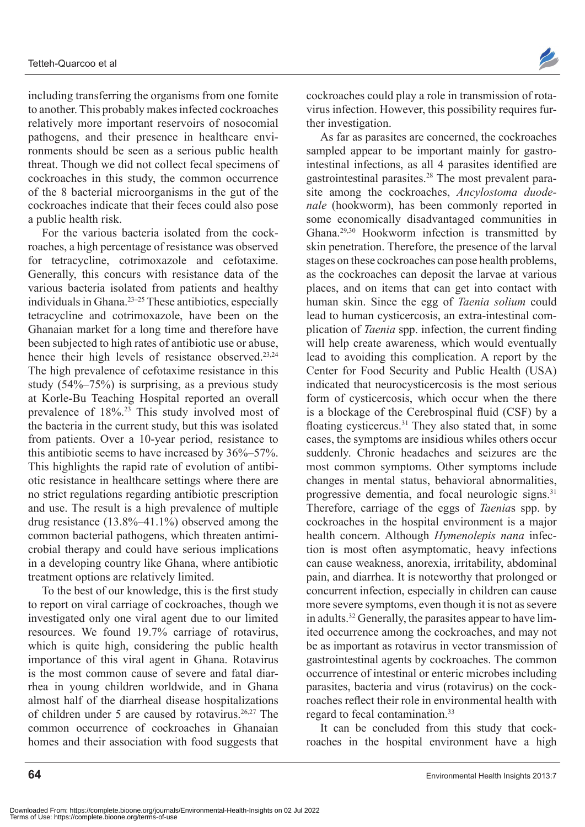including transferring the organisms from one fomite to another. This probably makes infected cockroaches relatively more important reservoirs of nosocomial pathogens, and their presence in healthcare environments should be seen as a serious public health threat. Though we did not collect fecal specimens of cockroaches in this study, the common occurrence of the 8 bacterial microorganisms in the gut of the cockroaches indicate that their feces could also pose a public health risk.

For the various bacteria isolated from the cockroaches, a high percentage of resistance was observed for tetracycline, cotrimoxazole and cefotaxime. Generally, this concurs with resistance data of the various bacteria isolated from patients and healthy individuals in Ghana.23–25 These antibiotics, especially tetracycline and cotrimoxazole, have been on the Ghanaian market for a long time and therefore have been subjected to high rates of antibiotic use or abuse, hence their high levels of resistance observed.<sup>23,24</sup> The high prevalence of cefotaxime resistance in this study (54%–75%) is surprising, as a previous study at Korle-Bu Teaching Hospital reported an overall prevalence of 18%.23 This study involved most of the bacteria in the current study, but this was isolated from patients. Over a 10-year period, resistance to this antibiotic seems to have increased by 36%–57%. This highlights the rapid rate of evolution of antibiotic resistance in healthcare settings where there are no strict regulations regarding antibiotic prescription and use. The result is a high prevalence of multiple drug resistance (13.8%–41.1%) observed among the common bacterial pathogens, which threaten antimicrobial therapy and could have serious implications in a developing country like Ghana, where antibiotic treatment options are relatively limited.

To the best of our knowledge, this is the first study to report on viral carriage of cockroaches, though we investigated only one viral agent due to our limited resources. We found 19.7% carriage of rotavirus, which is quite high, considering the public health importance of this viral agent in Ghana. Rotavirus is the most common cause of severe and fatal diarrhea in young children worldwide, and in Ghana almost half of the diarrheal disease hospitalizations of children under 5 are caused by rotavirus.<sup>26,27</sup> The common occurrence of cockroaches in Ghanaian homes and their association with food suggests that



cockroaches could play a role in transmission of rotavirus infection. However, this possibility requires further investigation.

As far as parasites are concerned, the cockroaches sampled appear to be important mainly for gastrointestinal infections, as all 4 parasites identified are gastrointestinal parasites.28 The most prevalent parasite among the cockroaches, *Ancylostoma duodenale* (hookworm), has been commonly reported in some economically disadvantaged communities in Ghana.29,30 Hookworm infection is transmitted by skin penetration. Therefore, the presence of the larval stages on these cockroaches can pose health problems, as the cockroaches can deposit the larvae at various places, and on items that can get into contact with human skin. Since the egg of *Taenia solium* could lead to human cysticercosis, an extra-intestinal complication of *Taenia* spp. infection, the current finding will help create awareness, which would eventually lead to avoiding this complication. A report by the Center for Food Security and Public Health (USA) indicated that neurocysticercosis is the most serious form of cysticercosis, which occur when the there is a blockage of the Cerebrospinal fluid (CSF) by a floating cysticercus.<sup>31</sup> They also stated that, in some cases, the symptoms are insidious whiles others occur suddenly. Chronic headaches and seizures are the most common symptoms. Other symptoms include changes in mental status, behavioral abnormalities, progressive dementia, and focal neurologic signs.<sup>31</sup> Therefore, carriage of the eggs of *Taenia*s spp. by cockroaches in the hospital environment is a major health concern. Although *Hymenolepis nana* infection is most often asymptomatic, heavy infections can cause weakness, anorexia, irritability, abdominal pain, and diarrhea. It is noteworthy that prolonged or concurrent infection, especially in children can cause more severe symptoms, even though it is not as severe in adults.<sup>32</sup> Generally, the parasites appear to have limited occurrence among the cockroaches, and may not be as important as rotavirus in vector transmission of gastrointestinal agents by cockroaches. The common occurrence of intestinal or enteric microbes including parasites, bacteria and virus (rotavirus) on the cockroaches reflect their role in environmental health with regard to fecal contamination.<sup>33</sup>

It can be concluded from this study that cockroaches in the hospital environment have a high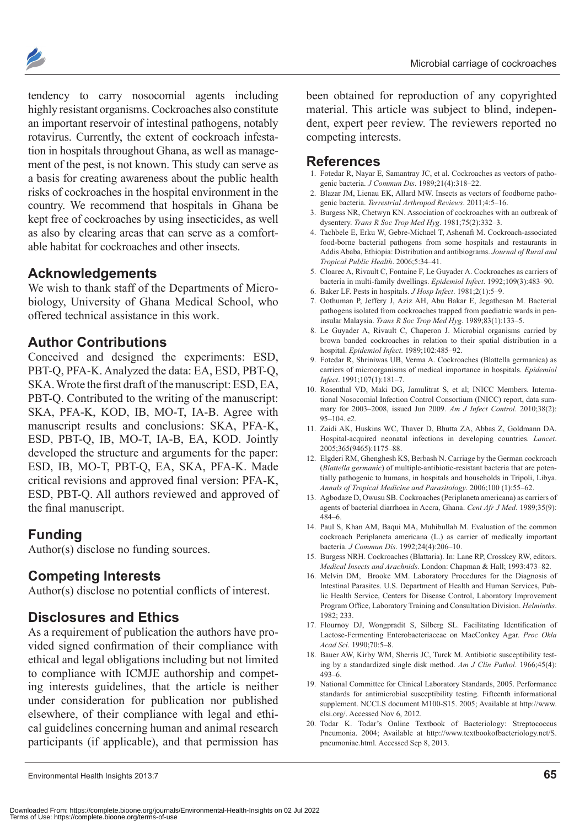

tendency to carry nosocomial agents including highly resistant organisms. Cockroaches also constitute an important reservoir of intestinal pathogens, notably rotavirus. Currently, the extent of cockroach infestation in hospitals throughout Ghana, as well as management of the pest, is not known. This study can serve as a basis for creating awareness about the public health risks of cockroaches in the hospital environment in the country. We recommend that hospitals in Ghana be kept free of cockroaches by using insecticides, as well as also by clearing areas that can serve as a comfortable habitat for cockroaches and other insects.

### **Acknowledgements**

We wish to thank staff of the Departments of Microbiology, University of Ghana Medical School, who offered technical assistance in this work.

#### **Author Contributions**

Conceived and designed the experiments: ESD, PBT-Q, PFA-K. Analyzed the data: EA, ESD, PBT-Q, SKA. Wrote the first draft of the manuscript: ESD, EA, PBT-Q. Contributed to the writing of the manuscript: SKA, PFA-K, KOD, IB, MO-T, IA-B. Agree with manuscript results and conclusions: SKA, PFA-K, ESD, PBT-Q, IB, MO-T, IA-B, EA, KOD. Jointly developed the structure and arguments for the paper: ESD, IB, MO-T, PBT-Q, EA, SKA, PFA-K. Made critical revisions and approved final version: PFA-K, ESD, PBT-Q. All authors reviewed and approved of the final manuscript.

#### **Funding**

Author(s) disclose no funding sources.

#### **Competing Interests**

Author(s) disclose no potential conflicts of interest.

#### **Disclosures and Ethics**

As a requirement of publication the authors have provided signed confirmation of their compliance with ethical and legal obligations including but not limited to compliance with ICMJE authorship and competing interests guidelines, that the article is neither under consideration for publication nor published elsewhere, of their compliance with legal and ethical guidelines concerning human and animal research participants (if applicable), and that permission has

been obtained for reproduction of any copyrighted material. This article was subject to blind, independent, expert peer review. The reviewers reported no competing interests.

#### **References**

- 1. Fotedar R, Nayar E, Samantray JC, et al. Cockroaches as vectors of pathogenic bacteria. *J Commun Dis*. 1989;21(4):318–22.
- 2. Blazar JM, Lienau EK, Allard MW. Insects as vectors of foodborne pathogenic bacteria. *Terrestrial Arthropod Reviews*. 2011;4:5–16.
- 3. Burgess NR, Chetwyn KN. Association of cockroaches with an outbreak of dysentery. *Trans R Soc Trop Med Hyg*. 1981;75(2):332–3.
- 4. Tachbele E, Erku W, Gebre-Michael T, Ashenafi M. Cockroach-associated food-borne bacterial pathogens from some hospitals and restaurants in Addis Ababa, Ethiopia: Distribution and antibiograms. *Journal of Rural and Tropical Public Health*. 2006;5:34–41.
- 5. Cloarec A, Rivault C, Fontaine F, Le Guyader A. Cockroaches as carriers of bacteria in multi-family dwellings. *Epidemiol Infect*. 1992;109(3):483–90.
- 6. Baker LF. Pests in hospitals. *J Hosp Infect*. 1981;2(1):5–9.
- 7. Oothuman P, Jeffery J, Aziz AH, Abu Bakar E, Jegathesan M. Bacterial pathogens isolated from cockroaches trapped from paediatric wards in peninsular Malaysia. *Trans R Soc Trop Med Hyg*. 1989;83(1):133–5.
- 8. Le Guyader A, Rivault C, Chaperon J. Microbial organisms carried by brown banded cockroaches in relation to their spatial distribution in a hospital. *Epidemiol Infect*. 1989;102:485–92.
- 9. Fotedar R, Shriniwas UB, Verma A. Cockroaches (Blattella germanica) as carriers of microorganisms of medical importance in hospitals. *Epidemiol Infect*. 1991;107(1):181–7.
- 10. Rosenthal VD, Maki DG, Jamulitrat S, et al; INICC Members. International Nosocomial Infection Control Consortium (INICC) report, data summary for 2003–2008, issued Jun 2009. *Am J Infect Control*. 2010;38(2): 95–104. e2.
- 11. Zaidi AK, Huskins WC, Thaver D, Bhutta ZA, Abbas Z, Goldmann DA. Hospital-acquired neonatal infections in developing countries. *Lancet*. 2005;365(9465):1175–88.
- 12. Elgderi RM, Ghenghesh KS, Berbash N. Carriage by the German cockroach (*Blattella germanic*) of multiple-antibiotic-resistant bacteria that are potentially pathogenic to humans, in hospitals and households in Tripoli, Libya. *Annals of Tropical Medicine and Parasitology*. 2006;100 (1):55–62.
- 13. Agbodaze D, Owusu SB. Cockroaches (Periplaneta americana) as carriers of agents of bacterial diarrhoea in Accra, Ghana. *Cent Afr J Med*. 1989;35(9): 484–6.
- 14. Paul S, Khan AM, Baqui MA, Muhibullah M. Evaluation of the common cockroach Periplaneta americana (L.) as carrier of medically important bacteria. *J Commun Dis*. 1992;24(4):206–10.
- 15. Burgess NRH. Cockroaches (Blattaria). In: Lane RP, Crosskey RW, editors. *Medical Insects and Arachnids*. London: Chapman & Hall; 1993:473–82.
- 16. Melvin DM, Brooke MM. Laboratory Procedures for the Diagnosis of Intestinal Parasites. U.S. Department of Health and Human Services, Public Health Service, Centers for Disease Control, Laboratory Improvement Program Office, Laboratory Training and Consultation Division. *Helminths*. 1982; 233.
- 17. Flournoy DJ, Wongpradit S, Silberg SL. Facilitating Identification of Lactose-Fermenting Enterobacteriaceae on MacConkey Agar. *Proc Okla Acad Sci*. 1990;70:5–8.
- 18. Bauer AW, Kirby WM, Sherris JC, Turck M. Antibiotic susceptibility testing by a standardized single disk method. *Am J Clin Pathol*. 1966;45(4): 493–6.
- 19. National Committee for Clinical Laboratory Standards, 2005. Performance standards for antimicrobial susceptibility testing. Fifteenth informational supplement. NCCLS document M100-S15. 2005; Available at [http://www.](http://www.clsi.org/) [clsi.org](http://www.clsi.org/)/. Accessed Nov 6, 2012.
- 20. Todar K. Todar's Online Textbook of Bacteriology: Streptococcus Pneumonia. 2004; Available at [http://www.textbookofbacteriology.net/S.](http://www.textbookofbacteriology.net/S.pneumoniae.html) [pneumoniae.html](http://www.textbookofbacteriology.net/S.pneumoniae.html). Accessed Sep 8, 2013.

Environmental Health Insights 2013:7 **65**